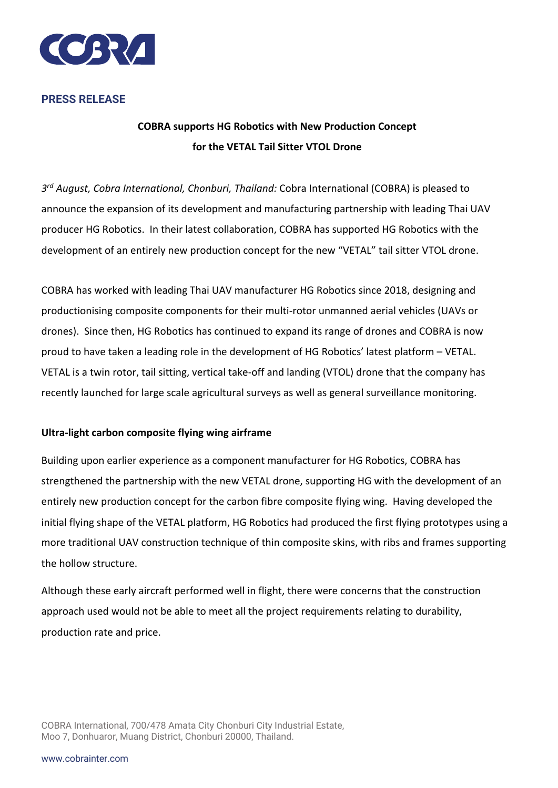

## **PRESS RELEASE**

# **COBRA supports HG Robotics with New Production Concept for the VETAL Tail Sitter VTOL Drone**

*3rd August, Cobra International, Chonburi, Thailand:* Cobra International (COBRA) is pleased to announce the expansion of its development and manufacturing partnership with leading Thai UAV producer HG Robotics. In their latest collaboration, COBRA has supported HG Robotics with the development of an entirely new production concept for the new "VETAL" tail sitter VTOL drone.

COBRA has worked with leading Thai UAV manufacturer HG Robotics since 2018, designing and productionising composite components for their multi-rotor unmanned aerial vehicles (UAVs or drones). Since then, HG Robotics has continued to expand its range of drones and COBRA is now proud to have taken a leading role in the development of HG Robotics' latest platform – VETAL. VETAL is a twin rotor, tail sitting, vertical take-off and landing (VTOL) drone that the company has recently launched for large scale agricultural surveys as well as general surveillance monitoring.

### **Ultra-light carbon composite flying wing airframe**

Building upon earlier experience as a component manufacturer for HG Robotics, COBRA has strengthened the partnership with the new VETAL drone, supporting HG with the development of an entirely new production concept for the carbon fibre composite flying wing. Having developed the initial flying shape of the VETAL platform, HG Robotics had produced the first flying prototypes using a more traditional UAV construction technique of thin composite skins, with ribs and frames supporting the hollow structure.

Although these early aircraft performed well in flight, there were concerns that the construction approach used would not be able to meet all the project requirements relating to durability, production rate and price.

COBRA International, 700/478 Amata City Chonburi City Industrial Estate, Moo 7, Donhuaror, Muang District, Chonburi 20000, Thailand.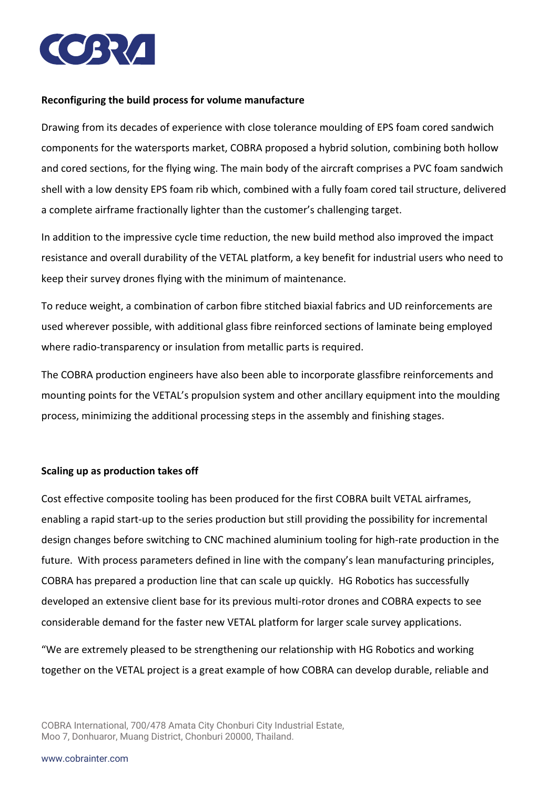

#### **Reconfiguring the build process for volume manufacture**

Drawing from its decades of experience with close tolerance moulding of EPS foam cored sandwich components for the watersports market, COBRA proposed a hybrid solution, combining both hollow and cored sections, for the flying wing. The main body of the aircraft comprises a PVC foam sandwich shell with a low density EPS foam rib which, combined with a fully foam cored tail structure, delivered a complete airframe fractionally lighter than the customer's challenging target.

In addition to the impressive cycle time reduction, the new build method also improved the impact resistance and overall durability of the VETAL platform, a key benefit for industrial users who need to keep their survey drones flying with the minimum of maintenance.

To reduce weight, a combination of carbon fibre stitched biaxial fabrics and UD reinforcements are used wherever possible, with additional glass fibre reinforced sections of laminate being employed where radio-transparency or insulation from metallic parts is required.

The COBRA production engineers have also been able to incorporate glassfibre reinforcements and mounting points for the VETAL's propulsion system and other ancillary equipment into the moulding process, minimizing the additional processing steps in the assembly and finishing stages.

### **Scaling up as production takes off**

Cost effective composite tooling has been produced for the first COBRA built VETAL airframes, enabling a rapid start-up to the series production but still providing the possibility for incremental design changes before switching to CNC machined aluminium tooling for high-rate production in the future. With process parameters defined in line with the company's lean manufacturing principles, COBRA has prepared a production line that can scale up quickly. HG Robotics has successfully developed an extensive client base for its previous multi-rotor drones and COBRA expects to see considerable demand for the faster new VETAL platform for larger scale survey applications.

"We are extremely pleased to be strengthening our relationship with HG Robotics and working together on the VETAL project is a great example of how COBRA can develop durable, reliable and

COBRA International, 700/478 Amata City Chonburi City Industrial Estate, Moo 7, Donhuaror, Muang District, Chonburi 20000, Thailand.